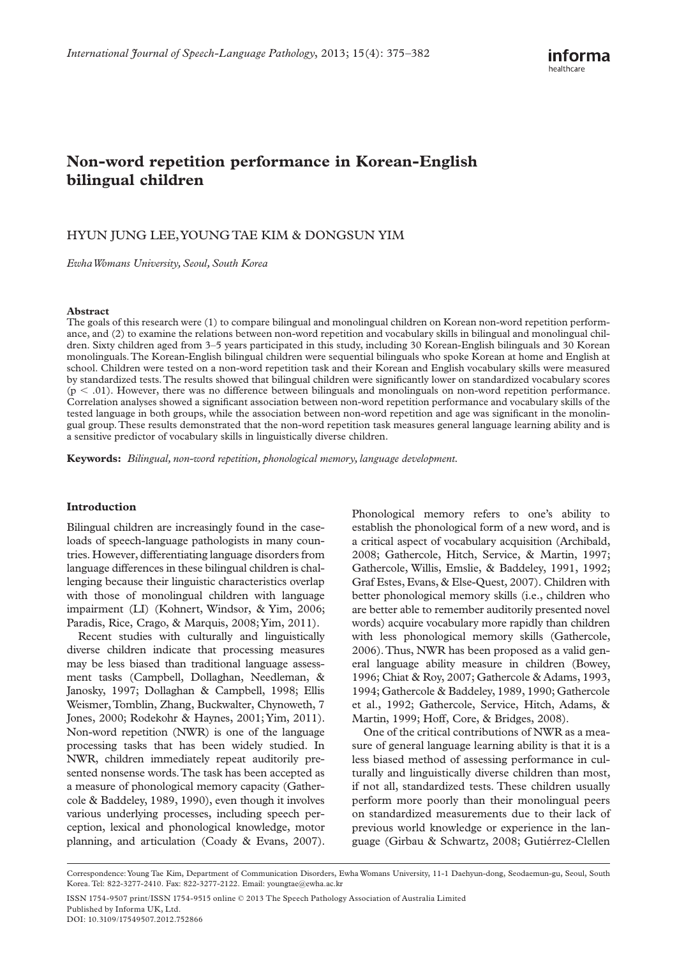# **Non-word repetition performance in Korean-English bilingual children**

## HYUN JUNG LEE , YOUNG TAE KIM & DONGSUN YIM

*Ewha Womans University, Seoul, South Korea* 

#### **Abstract**

The goals of this research were (1) to compare bilingual and monolingual children on Korean non-word repetition performance, and (2) to examine the relations between non-word repetition and vocabulary skills in bilingual and monolingual children. Sixty children aged from 3-5 years participated in this study, including 30 Korean-English bilinguals and 30 Korean monolinguals. The Korean-English bilingual children were sequential bilinguals who spoke Korean at home and English at school. Children were tested on a non-word repetition task and their Korean and English vocabulary skills were measured by standardized tests. The results showed that bilingual children were significantly lower on standardized vocabulary scores  $(p < .01)$ . However, there was no difference between bilinguals and monolinguals on non-word repetition performance. Correlation analyses showed a significant association between non-word repetition performance and vocabulary skills of the tested language in both groups, while the association between non-word repetition and age was significant in the monolingual group. These results demonstrated that the non-word repetition task measures general language learning ability and is a sensitive predictor of vocabulary skills in linguistically diverse children.

**Keywords:** *Bilingual , non-word repetition , phonological memory , language development.* 

## **Introduction**

Bilingual children are increasingly found in the caseloads of speech-language pathologists in many countries. However, differentiating language disorders from language differences in these bilingual children is challenging because their linguistic characteristics overlap with those of monolingual children with language impairment (LI) (Kohnert, Windsor, & Yim, 2006; Paradis, Rice, Crago, & Marquis, 2008; Yim, 2011).

Recent studies with culturally and linguistically diverse children indicate that processing measures may be less biased than traditional language assessment tasks (Campbell, Dollaghan, Needleman, & Janosky, 1997; Dollaghan & Campbell, 1998; Ellis Weismer, Tomblin, Zhang, Buckwalter, Chynoweth, 7 Jones, 2000; Rodekohr & Haynes, 2001; Yim, 2011). Non-word repetition (NWR) is one of the language processing tasks that has been widely studied. In NWR, children immediately repeat auditorily presented nonsense words. The task has been accepted as a measure of phonological memory capacity (Gathercole  $&Baddleley, 1989, 1990)$ , even though it involves various underlying processes, including speech perception, lexical and phonological knowledge, motor planning, and articulation (Coady  $&Evans$ , 2007). Phonological memory refers to one's ability to establish the phonological form of a new word, and is a critical aspect of vocabulary acquisition (Archibald, 2008; Gathercole, Hitch, Service, & Martin, 1997; Gathercole, Willis, Emslie, & Baddeley, 1991, 1992; Graf Estes, Evans, & Else-Quest, 2007). Children with better phonological memory skills (i.e., children who are better able to remember auditorily presented novel words) acquire vocabulary more rapidly than children with less phonological memory skills (Gathercole, 2006). Thus, NWR has been proposed as a valid general language ability measure in children (Bowey, 1996; Chiat & Roy, 2007; Gathercole & Adams, 1993, 1994; Gathercole & Baddeley, 1989, 1990; Gathercole et al., 1992; Gathercole, Service, Hitch, Adams, & Martin, 1999; Hoff, Core, & Bridges, 2008).

One of the critical contributions of NWR as a measure of general language learning ability is that it is a less biased method of assessing performance in culturally and linguistically diverse children than most, if not all, standardized tests. These children usually perform more poorly than their monolingual peers on standardized measurements due to their lack of previous world knowledge or experience in the language (Girbau & Schwartz, 2008; Gutiérrez-Clellen

Correspondence: Young Tae Kim, Department of Communication Disorders, Ewha Womans University, 11-1 Daehyun-dong, Seodaemun-gu, Seoul, South Korea. Tel: 822-3277-2410. Fax: 822-3277-2122. Email: youngtae@ewha.ac.kr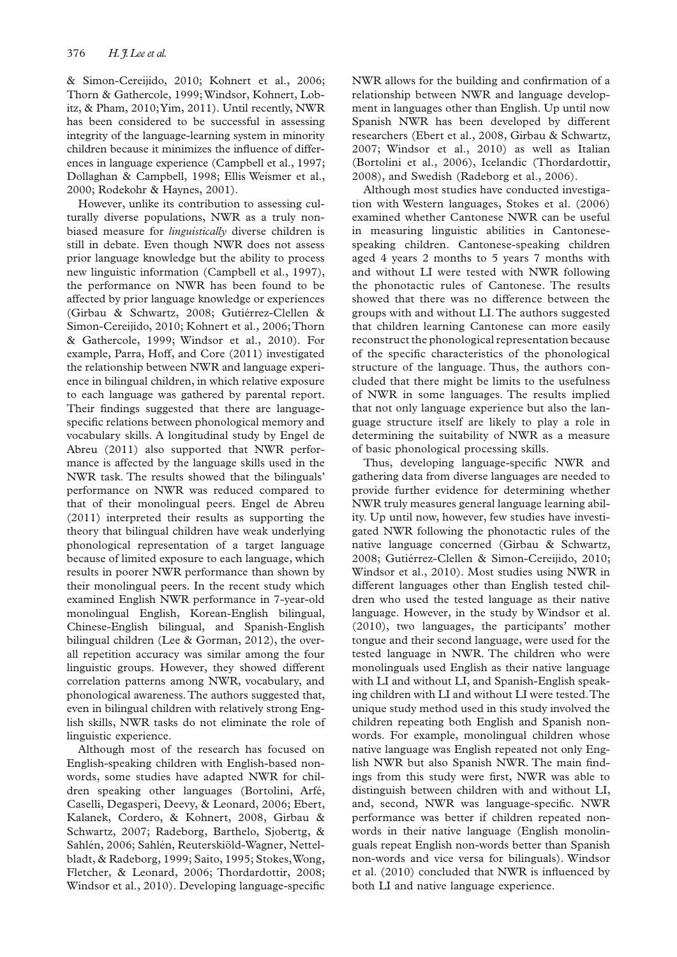&Simon-Cereijido, 2010; Kohnert et al., 2006; Thorn & Gathercole, 1999; Windsor, Kohnert, Lobitz, & Pham,  $2010$ ; Yim,  $2011$ ). Until recently, NWR has been considered to be successful in assessing integrity of the language-learning system in minority children because it minimizes the influence of differences in language experience (Campbell et al., 1997; Dollaghan & Campbell, 1998; Ellis Weismer et al., 2000; Rodekohr & Haynes, 2001).

However, unlike its contribution to assessing culturally diverse populations, NWR as a truly nonbiased measure for *linguistically* diverse children is still in debate. Even though NWR does not assess prior language knowledge but the ability to process new linguistic information (Campbell et al., 1997), the performance on NWR has been found to be affected by prior language knowledge or experiences (Girbau & Schwartz, 2008; Gutiérrez-Clellen & Simon-Cereijido, 2010; Kohnert et al., 2006; Thorn &Gathercole, 1999; Windsor et al., 2010). For example, Parra, Hoff, and Core (2011) investigated the relationship between NWR and language experience in bilingual children, in which relative exposure to each language was gathered by parental report. Their findings suggested that there are languagespecific relations between phonological memory and vocabulary skills. A longitudinal study by Engel de Abreu (2011) also supported that NWR performance is affected by the language skills used in the NWR task. The results showed that the bilinguals' performance on NWR was reduced compared to that of their monolingual peers. Engel de Abreu (2011) interpreted their results as supporting the theory that bilingual children have weak underlying phonological representation of a target language because of limited exposure to each language, which results in poorer NWR performance than shown by their monolingual peers. In the recent study which examined English NWR performance in 7-year-old monolingual English, Korean-English bilingual, Chinese-English bilingual, and Spanish-English bilingual children (Lee & Gorman, 2012), the overall repetition accuracy was similar among the four linguistic groups. However, they showed different correlation patterns among NWR, vocabulary, and phonological awareness. The authors suggested that, even in bilingual children with relatively strong English skills, NWR tasks do not eliminate the role of linguistic experience.

Although most of the research has focused on English-speaking children with English-based nonwords, some studies have adapted NWR for children speaking other languages (Bortolini, Arfé, Caselli, Degasperi, Deevy, & Leonard, 2006; Ebert, Kalanek, Cordero, & Kohnert, 2008, Girbau & Schwartz, 2007; Radeborg, Barthelo, Sjobertg, & Sahlén, 2006; Sahlén, Reuterskiöld-Wagner, Nettelbladt, & Radeborg, 1999; Saito, 1995; Stokes, Wong, Fletcher, & Leonard, 2006; Thordardottir, 2008; Windsor et al., 2010). Developing language-specific

NWR allows for the building and confirmation of a relationship between NWR and language development in languages other than English. Up until now Spanish NWR has been developed by different researchers (Ebert et al., 2008, Girbau & Schwartz, 2007; Windsor et al., 2010) as well as Italian (Bortolini et al., 2006), Icelandic (Thordardottir, 2008), and Swedish (Radeborg et al., 2006).

Although most studies have conducted investigation with Western languages, Stokes et al. (2006) examined whether Cantonese NWR can be useful in measuring linguistic abilities in Cantonesespeaking children. Cantonese-speaking children aged 4 years 2 months to 5 years 7 months with and without LI were tested with NWR following the phonotactic rules of Cantonese. The results showed that there was no difference between the groups with and without LI. The authors suggested that children learning Cantonese can more easily reconstruct the phonological representation because of the specific characteristics of the phonological structure of the language. Thus, the authors concluded that there might be limits to the usefulness of NWR in some languages. The results implied that not only language experience but also the language structure itself are likely to play a role in determining the suitability of NWR as a measure of basic phonological processing skills.

Thus, developing language-specific NWR and gathering data from diverse languages are needed to provide further evidence for determining whether NWR truly measures general language learning ability. Up until now, however, few studies have investigated NWR following the phonotactic rules of the native language concerned (Girbau & Schwartz, 2008; Gutiérrez-Clellen & Simon-Cereijido, 2010; Windsor et al., 2010). Most studies using NWR in different languages other than English tested children who used the tested language as their native language. However, in the study by Windsor et al.  $(2010)$ , two languages, the participants' mother tongue and their second language, were used for the tested language in NWR. The children who were monolinguals used English as their native language with LI and without LI, and Spanish-English speaking children with LI and without LI were tested. The unique study method used in this study involved the children repeating both English and Spanish nonwords. For example, monolingual children whose native language was English repeated not only English NWR but also Spanish NWR. The main findings from this study were first, NWR was able to distinguish between children with and without LI, and, second, NWR was language-specific. NWR performance was better if children repeated nonwords in their native language (English monolinguals repeat English non-words better than Spanish non-words and vice versa for bilinguals). Windsor et al.  $(2010)$  concluded that NWR is influenced by both LI and native language experience.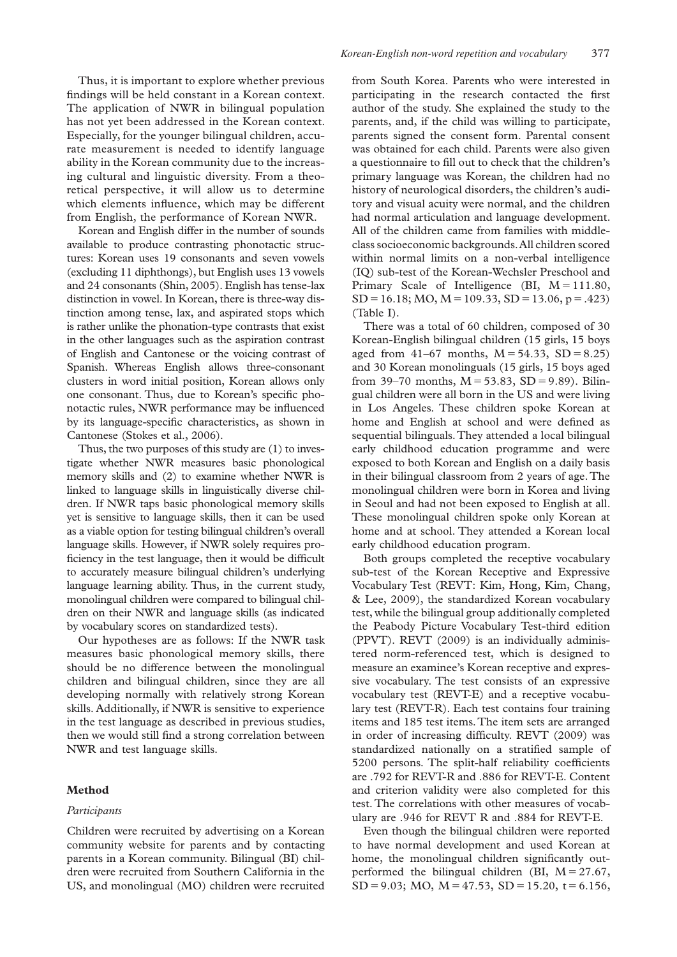Thus, it is important to explore whether previous findings will be held constant in a Korean context. The application of NWR in bilingual population has not yet been addressed in the Korean context. Especially, for the younger bilingual children, accurate measurement is needed to identify language ability in the Korean community due to the increasing cultural and linguistic diversity. From a theoretical perspective, it will allow us to determine which elements influence, which may be different from English, the performance of Korean NWR.

Korean and English differ in the number of sounds available to produce contrasting phonotactic structures: Korean uses 19 consonants and seven vowels (excluding 11 diphthongs), but English uses 13 vowels and 24 consonants (Shin, 2005). English has tense-lax distinction in vowel. In Korean, there is three-way distinction among tense, lax, and aspirated stops which is rather unlike the phonation-type contrasts that exist in the other languages such as the aspiration contrast of English and Cantonese or the voicing contrast of Spanish. Whereas English allows three-consonant clusters in word initial position, Korean allows only one consonant. Thus, due to Korean's specific phonotactic rules, NWR performance may be influenced by its language-specific characteristics, as shown in Cantonese (Stokes et al., 2006).

Thus, the two purposes of this study are (1) to investigate whether NWR measures basic phonological memory skills and (2) to examine whether NWR is linked to language skills in linguistically diverse children. If NWR taps basic phonological memory skills yet is sensitive to language skills, then it can be used as a viable option for testing bilingual children's overall language skills. However, if NWR solely requires proficiency in the test language, then it would be difficult to accurately measure bilingual children's underlying language learning ability. Thus, in the current study, monolingual children were compared to bilingual children on their NWR and language skills (as indicated by vocabulary scores on standardized tests).

Our hypotheses are as follows: If the NWR task measures basic phonological memory skills, there should be no difference between the monolingual children and bilingual children, since they are all developing normally with relatively strong Korean skills. Additionally, if NWR is sensitive to experience in the test language as described in previous studies, then we would still find a strong correlation between NWR and test language skills.

### **Method**

#### *Participants*

Children were recruited by advertising on a Korean community website for parents and by contacting parents in a Korean community. Bilingual (BI) children were recruited from Southern California in the US, and monolingual (MO) children were recruited

from South Korea. Parents who were interested in participating in the research contacted the first author of the study. She explained the study to the parents, and, if the child was willing to participate, parents signed the consent form. Parental consent was obtained for each child. Parents were also given a questionnaire to fill out to check that the children's primary language was Korean, the children had no history of neurological disorders, the children's auditory and visual acuity were normal, and the children had normal articulation and language development. All of the children came from families with middleclass socioeconomic backgrounds. All children scored within normal limits on a non-verbal intelligence (IQ) sub-test of the Korean-Wechsler Preschool and Primary Scale of Intelligence (BI,  $M = 111.80$ ,  $SD = 16.18$ ; MO, M = 109.33, SD = 13.06, p = .423) (Table I).

There was a total of 60 children, composed of 30 Korean-English bilingual children (15 girls, 15 boys aged from  $41-67$  months,  $M = 54.33$ ,  $SD = 8.25$ ) and 30 Korean monolinguals (15 girls, 15 boys aged from 39–70 months,  $M = 53.83$ ,  $SD = 9.89$ ). Bilingual children were all born in the US and were living in Los Angeles. These children spoke Korean at home and English at school and were defined as sequential bilinguals. They attended a local bilingual early childhood education programme and were exposed to both Korean and English on a daily basis in their bilingual classroom from 2 years of age. The monolingual children were born in Korea and living in Seoul and had not been exposed to English at all. These monolingual children spoke only Korean at home and at school. They attended a Korean local early childhood education program.

Both groups completed the receptive vocabulary sub-test of the Korean Receptive and Expressive Vocabulary Test (REVT: Kim, Hong, Kim, Chang, &Lee, 2009), the standardized Korean vocabulary test, while the bilingual group additionally completed the Peabody Picture Vocabulary Test-third edition (PPVT). REVT (2009) is an individually administered norm-referenced test, which is designed to measure an examinee's Korean receptive and expressive vocabulary. The test consists of an expressive vocabulary test (REVT-E) and a receptive vocabulary test (REVT-R). Each test contains four training items and 185 test items. The item sets are arranged in order of increasing difficulty. REVT (2009) was standardized nationally on a stratified sample of 5200 persons. The split-half reliability coefficients are .792 for REVT-R and .886 for REVT-E. Content and criterion validity were also completed for this test. The correlations with other measures of vocabulary are .946 for REVT R and .884 for REVT-E.

Even though the bilingual children were reported to have normal development and used Korean at home, the monolingual children significantly outperformed the bilingual children (BI,  $M = 27.67$ ,  $SD = 9.03$ ; MO,  $M = 47.53$ ,  $SD = 15.20$ ,  $t = 6.156$ ,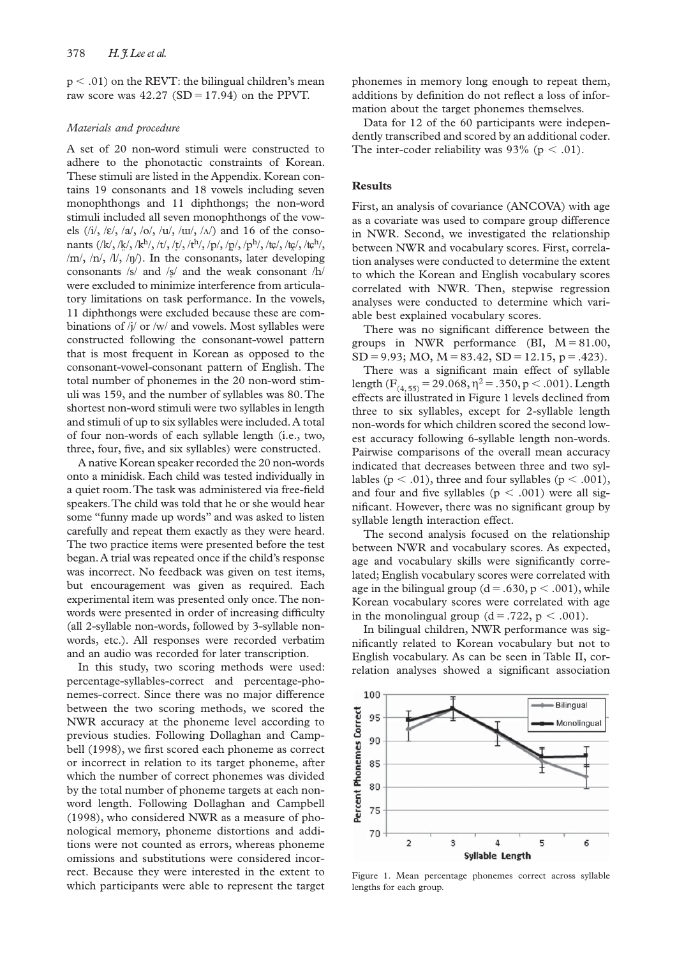$p < .01$ ) on the REVT: the bilingual children's mean raw score was  $42.27$  (SD = 17.94) on the PPVT.

#### *Materials and procedure*

A set of 20 non-word stimuli were constructed to adhere to the phonotactic constraints of Korean. These stimuli are listed in the Appendix. Korean contains 19 consonants and 18 vowels including seven monophthongs and 11 diphthongs; the non-word stimuli included all seven monophthongs of the vowels  $(i/\sqrt{\epsilon}, \sqrt{\epsilon}, \sqrt{\alpha}, \sqrt{\omega}, \sqrt{\omega}, \sqrt{\alpha})$  and 16 of the consonants  $(\frac{k}{\lambda}, \frac{k}{\lambda}, \frac{k}{\lambda}, \frac{t}{\lambda}, \frac{t}{\lambda}, \frac{t}{\lambda}, \frac{h}{\lambda}, \frac{h}{\lambda}, \frac{h}{\lambda}, \frac{h}{\lambda}, \frac{h}{\lambda}, \frac{h}{\lambda}, \frac{h}{\lambda}, \frac{h}{\lambda}, \frac{h}{\lambda}, \frac{h}{\lambda}, \frac{h}{\lambda}, \frac{h}{\lambda}, \frac{h}{\lambda}, \frac{h}{\lambda}, \frac{h}{\lambda}, \frac{h}{\lambda}, \frac{h}{\lambda}, \frac{h}{\lambda}, \frac{h}{\lambda}, \frac{h}{\lambda}, \frac{h}{\lambda}, \$ /m/, /n/, /l/, /n/). In the consonants, later developing consonants /s/ and /s/ and the weak consonant /h/ were excluded to minimize interference from articulatory limitations on task performance. In the vowels, 11 diphthongs were excluded because these are combinations of /j/ or /w/ and vowels. Most syllables were constructed following the consonant-vowel pattern that is most frequent in Korean as opposed to the consonant-vowel-consonant pattern of English. The total number of phonemes in the 20 non-word stimuli was 159, and the number of syllables was 80. The shortest non-word stimuli were two syllables in length and stimuli of up to six syllables were included. A total of four non-words of each syllable length (i.e., two, three, four, five, and six syllables) were constructed.

A native Korean speaker recorded the 20 non-words onto a minidisk. Each child was tested individually in a quiet room. The task was administered via free-field speakers. The child was told that he or she would hear some "funny made up words" and was asked to listen carefully and repeat them exactly as they were heard. The two practice items were presented before the test began. A trial was repeated once if the child's response was incorrect. No feedback was given on test items, but encouragement was given as required. Each experimental item was presented only once. The nonwords were presented in order of increasing difficulty (all 2-syllable non-words, followed by 3-syllable nonwords, etc.). All responses were recorded verbatim and an audio was recorded for later transcription.

In this study, two scoring methods were used: percentage-syllables-correct and percentage-phonemes-correct. Since there was no major difference between the two scoring methods, we scored the NWR accuracy at the phoneme level according to previous studies. Following Dollaghan and Campbell (1998), we first scored each phoneme as correct or incorrect in relation to its target phoneme, after which the number of correct phonemes was divided by the total number of phoneme targets at each nonword length. Following Dollaghan and Campbell (1998), who considered NWR as a measure of phonological memory, phoneme distortions and additions were not counted as errors, whereas phoneme omissions and substitutions were considered incorrect. Because they were interested in the extent to which participants were able to represent the target phonemes in memory long enough to repeat them, additions by definition do not reflect a loss of information about the target phonemes themselves.

Data for 12 of the 60 participants were independently transcribed and scored by an additional coder. The inter-coder reliability was  $93\%$  (p < .01).

## **Results**

First, an analysis of covariance (ANCOVA) with age as a covariate was used to compare group difference in NWR. Second, we investigated the relationship between NWR and vocabulary scores. First, correlation analyses were conducted to determine the extent to which the Korean and English vocabulary scores correlated with NWR. Then, stepwise regression analyses were conducted to determine which variable best explained vocabulary scores.

There was no significant difference between the groups in NWR performance (BI,  $M = 81.00$ ,  $SD = 9.93$ ; MO,  $M = 83.42$ ,  $SD = 12.15$ ,  $p = .423$ ).

There was a significant main effect of syllable length ( $F_{(4, 55)} = 29.068$ ,  $\eta^2 = .350$ ,  $p < .001$ ). Length effects are illustrated in Figure 1 levels declined from three to six syllables, except for 2-syllable length non-words for which children scored the second lowest accuracy following 6-syllable length non-words. Pairwise comparisons of the overall mean accuracy indicated that decreases between three and two syllables ( $p < .01$ ), three and four syllables ( $p < .001$ ), and four and five syllables ( $p < .001$ ) were all significant. However, there was no significant group by syllable length interaction effect.

The second analysis focused on the relationship between NWR and vocabulary scores. As expected, age and vocabulary skills were significantly correlated; English vocabulary scores were correlated with age in the bilingual group ( $d = .630$ ,  $p < .001$ ), while Korean vocabulary scores were correlated with age in the monolingual group  $(d = .722, p < .001)$ .

In bilingual children, NWR performance was significantly related to Korean vocabulary but not to English vocabulary. As can be seen in Table II, correlation analyses showed a significant association



Figure 1. Mean percentage phonemes correct across syllable lengths for each group.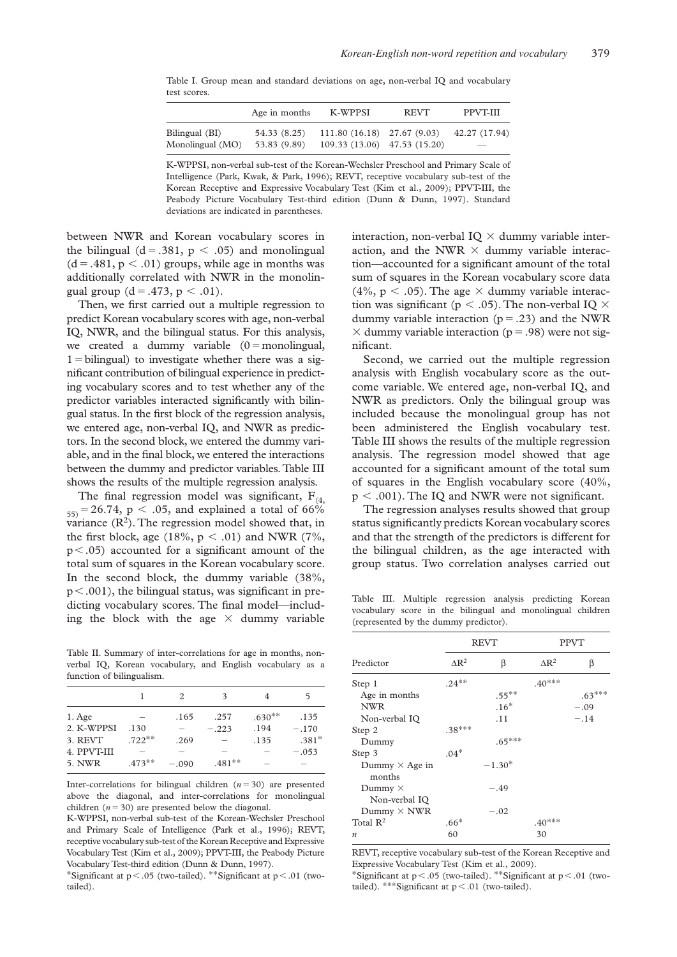Table I. Group mean and standard deviations on age, non-verbal IQ and vocabulary test scores.

|                                    | Age in months                | K-WPPSI                                                      | <b>REVT</b> | <b>PPVT-III</b> |
|------------------------------------|------------------------------|--------------------------------------------------------------|-------------|-----------------|
| Bilingual (BI)<br>Monolingual (MO) | 54.33 (8.25)<br>53.83 (9.89) | $111.80(16.18)$ 27.67 (9.03)<br>109.33 (13.06) 47.53 (15.20) |             | 42.27 (17.94)   |
|                                    |                              |                                                              |             |                 |

K-WPPSI, non-verbal sub-test of the Korean-Wechsler Preschool and Primary Scale of Intelligence (Park, Kwak, & Park, 1996); REVT, receptive vocabulary sub-test of the Korean Receptive and Expressive Vocabulary Test (Kim et al., 2009); PPVT-III, the Peabody Picture Vocabulary Test-third edition (Dunn & Dunn, 1997). Standard deviations are indicated in parentheses.

between NWR and Korean vocabulary scores in the bilingual  $(d = .381, p < .05)$  and monolingual  $(d = .481, p < .01)$  groups, while age in months was additionally correlated with NWR in the monolingual group  $(d = .473, p < .01)$ .

Then, we first carried out a multiple regression to predict Korean vocabulary scores with age, non-verbal IQ, NWR, and the bilingual status. For this analysis, we created a dummy variable  $(0 = \text{monolingual})$  $1 = \text{bilingual}$  to investigate whether there was a significant contribution of bilingual experience in predicting vocabulary scores and to test whether any of the predictor variables interacted significantly with bilingual status. In the first block of the regression analysis, we entered age, non-verbal IQ, and NWR as predictors. In the second block, we entered the dummy variable, and in the final block, we entered the interactions between the dummy and predictor variables. Table III shows the results of the multiple regression analysis.

The final regression model was significant,  $F_{\mu}$  $(55) = 26.74$ , p < .05, and explained a total of 66% variance  $(R<sup>2</sup>)$ . The regression model showed that, in the first block, age  $(18\%, p < .01)$  and NWR  $(7\%,$  $p < .05$ ) accounted for a significant amount of the total sum of squares in the Korean vocabulary score. In the second block, the dummy variable (38%,  $p<.001$ ), the bilingual status, was significant in predicting vocabulary scores. The final model—including the block with the age  $\times$  dummy variable

Table II. Summary of inter-correlations for age in months, nonverbal IQ, Korean vocabulary, and English vocabulary as a function of bilingualism.

|             |          | 2       | 3        |          | 5       |
|-------------|----------|---------|----------|----------|---------|
| $1.$ Age    |          | .165    | .257     | $.630**$ | .135    |
| 2. K-WPPSI  | .130     |         | $-.223$  | .194     | $-.170$ |
| 3. REVT     | $.722**$ | .269    |          | .135     | $.381*$ |
| 4. PPVT-III |          |         |          |          | $-.053$ |
| 5. NWR      | $.473**$ | $-.090$ | $.481**$ |          |         |

Inter-correlations for bilingual children  $(n = 30)$  are presented above the diagonal, and inter-correlations for monolingual children  $(n = 30)$  are presented below the diagonal.

\*Significant at  $p < .05$  (two-tailed). \*\*Significant at  $p < .01$  (twotailed).

interaction, non-verbal IQ  $\times$  dummy variable interaction, and the NWR  $\times$  dummy variable interaction—accounted for a significant amount of the total sum of squares in the Korean vocabulary score data  $(4\%, p < .05)$ . The age  $\times$  dummy variable interaction was significant ( $p < .05$ ). The non-verbal IQ  $\times$ dummy variable interaction  $(p = .23)$  and the NWR  $\times$  dummy variable interaction (p = .98) were not significant.

Second, we carried out the multiple regression analysis with English vocabulary score as the outcome variable. We entered age, non-verbal IQ, and NWR as predictors. Only the bilingual group was included because the monolingual group has not been administered the English vocabulary test. Table III shows the results of the multiple regression analysis. The regression model showed that age accounted for a significant amount of the total sum of squares in the English vocabulary score (40%,  $p < .001$ ). The IQ and NWR were not significant.

The regression analyses results showed that group status significantly predicts Korean vocabulary scores and that the strength of the predictors is different for the bilingual children, as the age interacted with group status. Two correlation analyses carried out

Table III. Multiple regression analysis predicting Korean vocabulary score in the bilingual and monolingual children (represented by the dummy predictor).

|                                 | <b>REVT</b>             |          | <b>PPVT</b>             |          |
|---------------------------------|-------------------------|----------|-------------------------|----------|
| Predictor                       | $\Delta$ R <sup>2</sup> | β        | $\Delta$ R <sup>2</sup> | β        |
| Step 1                          | $.24***$                |          | $.40***$                |          |
| Age in months                   |                         | $.55***$ |                         | $.63***$ |
| <b>NWR</b>                      |                         | $16*$    |                         | $-.09$   |
| Non-verbal IQ                   |                         | .11      |                         | $-.14$   |
| Step 2                          | $.38***$                |          |                         |          |
| Dummy                           |                         | $.65***$ |                         |          |
| Step 3                          | $.04*$                  |          |                         |          |
| Dummy $\times$ Age in<br>months |                         | $-1.30*$ |                         |          |
| Dummy $\times$                  |                         | $-.49$   |                         |          |
| Non-verbal IQ                   |                         |          |                         |          |
| Dummy $\times$ NWR              |                         | $-.02$   |                         |          |
| Total $\mathbb{R}^2$            | $.66*$                  |          | $.40***$                |          |
| $\boldsymbol{n}$                | 60                      |          | 30                      |          |

REVT, receptive vocabulary sub-test of the Korean Receptive and Expressive Vocabulary Test (Kim et al., 2009).

\*Significant at p <.05 (two-tailed). \*\*Significant at p <.01 (twotailed). \*\*\*Significant at  $p < .01$  (two-tailed).

K-WPPSI, non-verbal sub-test of the Korean-Wechsler Preschool and Primary Scale of Intelligence (Park et al., 1996); REVT, receptive vocabulary sub-test of the Korean Receptive and Expressive Vocabulary Test (Kim et al., 2009); PPVT-III, the Peabody Picture Vocabulary Test-third edition (Dunn & Dunn, 1997).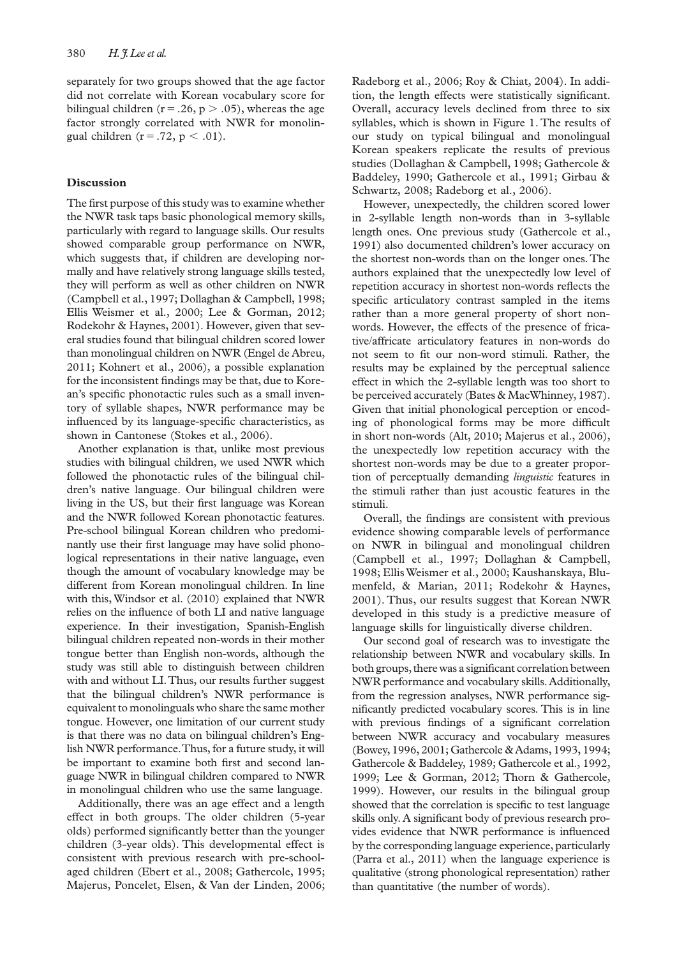separately for two groups showed that the age factor did not correlate with Korean vocabulary score for bilingual children ( $r = .26$ ,  $p > .05$ ), whereas the age factor strongly correlated with NWR for monolingual children  $(r = .72, p < .01)$ .

## **Discussion**

The first purpose of this study was to examine whether the NWR task taps basic phonological memory skills, particularly with regard to language skills. Our results showed comparable group performance on NWR, which suggests that, if children are developing normally and have relatively strong language skills tested, they will perform as well as other children on NWR (Campbell et al., 1997; Dollaghan & Campbell, 1998; Ellis Weismer et al., 2000; Lee & Gorman, 2012; Rodekohr & Haynes, 2001). However, given that several studies found that bilingual children scored lower than monolingual children on NWR (Engel de Abreu, 2011; Kohnert et al., 2006), a possible explanation for the inconsistent findings may be that, due to Korean's specific phonotactic rules such as a small inventory of syllable shapes, NWR performance may be influenced by its language-specific characteristics, as shown in Cantonese (Stokes et al., 2006).

Another explanation is that, unlike most previous studies with bilingual children, we used NWR which followed the phonotactic rules of the bilingual children's native language. Our bilingual children were living in the US, but their first language was Korean and the NWR followed Korean phonotactic features. Pre-school bilingual Korean children who predominantly use their first language may have solid phonological representations in their native language, even though the amount of vocabulary knowledge may be different from Korean monolingual children. In line with this, Windsor et al. (2010) explained that NWR relies on the influence of both LI and native language experience. In their investigation, Spanish-English bilingual children repeated non-words in their mother tongue better than English non-words, although the study was still able to distinguish between children with and without LI. Thus, our results further suggest that the bilingual children's NWR performance is equivalent to monolinguals who share the same mother tongue. However, one limitation of our current study is that there was no data on bilingual children's English NWR performance. Thus, for a future study, it will be important to examine both first and second language NWR in bilingual children compared to NWR in monolingual children who use the same language.

Additionally, there was an age effect and a length effect in both groups. The older children (5-year olds) performed significantly better than the younger children (3-year olds). This developmental effect is consistent with previous research with pre-schoolaged children (Ebert et al., 2008; Gathercole, 1995; Majerus, Poncelet, Elsen, & Van der Linden, 2006;

Radeborg et al., 2006; Roy & Chiat, 2004). In addition, the length effects were statistically significant. Overall, accuracy levels declined from three to six syllables, which is shown in Figure 1. The results of our study on typical bilingual and monolingual Korean speakers replicate the results of previous studies (Dollaghan & Campbell, 1998; Gathercole & Baddeley, 1990; Gathercole et al., 1991; Girbau & Schwartz, 2008; Radeborg et al., 2006).

However, unexpectedly, the children scored lower in 2-syllable length non-words than in 3-syllable length ones. One previous study (Gathercole et al., 1991) also documented children's lower accuracy on the shortest non-words than on the longer ones. The authors explained that the unexpectedly low level of repetition accuracy in shortest non-words reflects the specific articulatory contrast sampled in the items rather than a more general property of short nonwords. However, the effects of the presence of fricative/affricate articulatory features in non-words do not seem to fit our non-word stimuli. Rather, the results may be explained by the perceptual salience effect in which the 2-syllable length was too short to be perceived accurately (Bates & MacWhinney, 1987). Given that initial phonological perception or encoding of phonological forms may be more difficult in short non-words (Alt, 2010; Majerus et al., 2006), the unexpectedly low repetition accuracy with the shortest non-words may be due to a greater proportion of perceptually demanding *linguistic* features in the stimuli rather than just acoustic features in the stimuli.

Overall, the findings are consistent with previous evidence showing comparable levels of performance on NWR in bilingual and monolingual children (Campbell et al., 1997; Dollaghan & Campbell, 1998; Ellis Weismer et al., 2000; Kaushanskaya, Blumenfeld, & Marian, 2011; Rodekohr & Haynes, 2001). Thus, our results suggest that Korean NWR developed in this study is a predictive measure of language skills for linguistically diverse children.

Our second goal of research was to investigate the relationship between NWR and vocabulary skills. In both groups, there was a significant correlation between NWR performance and vocabulary skills. Additionally, from the regression analyses, NWR performance significantly predicted vocabulary scores. This is in line with previous findings of a significant correlation between NWR accuracy and vocabulary measures (Bowey, 1996, 2001; Gathercole & Adams, 1993, 1994; Gathercole & Baddeley, 1989; Gathercole et al., 1992, 1999; Lee & Gorman, 2012; Thorn & Gathercole, 1999). However, our results in the bilingual group showed that the correlation is specific to test language skills only. A significant body of previous research provides evidence that NWR performance is influenced by the corresponding language experience, particularly (Parra et al., 2011) when the language experience is qualitative (strong phonological representation) rather than quantitative (the number of words).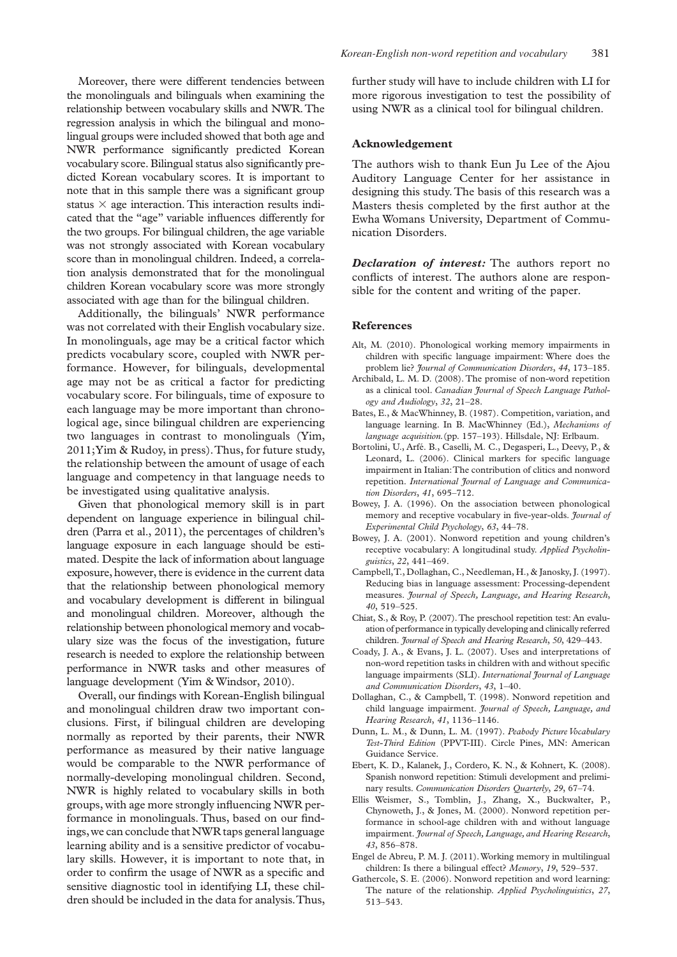Moreover, there were different tendencies between the monolinguals and bilinguals when examining the relationship between vocabulary skills and NWR. The regression analysis in which the bilingual and monolingual groups were included showed that both age and NWR performance significantly predicted Korean vocabulary score. Bilingual status also significantly predicted Korean vocabulary scores. It is important to note that in this sample there was a significant group status  $\times$  age interaction. This interaction results indicated that the "age" variable influences differently for the two groups. For bilingual children, the age variable was not strongly associated with Korean vocabulary score than in monolingual children. Indeed, a correlation analysis demonstrated that for the monolingual children Korean vocabulary score was more strongly associated with age than for the bilingual children.

Additionally, the bilinguals' NWR performance was not correlated with their English vocabulary size. In monolinguals, age may be a critical factor which predicts vocabulary score, coupled with NWR performance. However, for bilinguals, developmental age may not be as critical a factor for predicting vocabulary score. For bilinguals, time of exposure to each language may be more important than chronological age, since bilingual children are experiencing two languages in contrast to monolinguals (Yim, 2011; Yim & Rudoy, in press). Thus, for future study, the relationship between the amount of usage of each language and competency in that language needs to be investigated using qualitative analysis.

Given that phonological memory skill is in part dependent on language experience in bilingual children (Parra et al., 2011), the percentages of children's language exposure in each language should be estimated. Despite the lack of information about language exposure, however, there is evidence in the current data that the relationship between phonological memory and vocabulary development is different in bilingual and monolingual children. Moreover, although the relationship between phonological memory and vocabulary size was the focus of the investigation, future research is needed to explore the relationship between performance in NWR tasks and other measures of language development (Yim & Windsor, 2010).

Overall, our findings with Korean-English bilingual and monolingual children draw two important conclusions. First, if bilingual children are developing normally as reported by their parents, their NWR performance as measured by their native language would be comparable to the NWR performance of normally-developing monolingual children. Second, NWR is highly related to vocabulary skills in both groups, with age more strongly influencing NWR performance in monolinguals. Thus, based on our findings, we can conclude that NWR taps general language learning ability and is a sensitive predictor of vocabulary skills. However, it is important to note that, in order to confirm the usage of NWR as a specific and sensitive diagnostic tool in identifying LI, these children should be included in the data for analysis. Thus,

further study will have to include children with LI for more rigorous investigation to test the possibility of using NWR as a clinical tool for bilingual children.

#### **Acknowledgement**

The authors wish to thank Eun Ju Lee of the Ajou Auditory Language Center for her assistance in designing this study. The basis of this research was a Masters thesis completed by the first author at the Ewha Womans University, Department of Communication Disorders.

*Declaration of interest:* The authors report no conflicts of interest. The authors alone are responsible for the content and writing of the paper.

#### **References**

- Alt, M. (2010). Phonological working memory impairments in children with specific language impairment: Where does the problem lie? *Journal of Communication Disorders*, 44, 173-185.
- Archibald, L. M. D. (2008). The promise of non-word repetition as a clinical tool. *Canadian Journal of Speech Language Pathology and Audiology*, *32*, 21 – 28 .
- Bates, E., & MacWhinney, B. (1987). Competition, variation, and language learning. In B. MacWhinney (Ed.), *Mechanisms of* language acquisition.(pp. 157-193). Hillsdale, NJ: Erlbaum.
- Bortolini, U., Arfé. B., Caselli, M. C., Degasperi, L., Deevy, P., & Leonard, L. (2006). Clinical markers for specific language impairment in Italian: The contribution of clitics and nonword repetition. International Journal of Language and Communica*tion Disorders*, 41, 695-712.
- Bowey, J. A. (1996). On the association between phonological memory and receptive vocabulary in five-year-olds. *Journal of Experimental Child Psychology*, 63, 44-78.
- Bowey, J. A. (2001). Nonword repetition and young children's receptive vocabulary: A longitudinal study . *Applied Psycholinguistics*, *22*, 441 – 469 .
- Campbell, T., Dollaghan, C., Needleman, H., & Janosky, J. (1997). Reducing bias in language assessment: Processing-dependent measures . *Journal of Speech, Language, and Hearing Research*, *40*, 519–525.
- Chiat, S., & Roy, P. (2007). The preschool repetition test: An evaluation of performance in typically developing and clinically referred children. *Journal of Speech and Hearing Research*, 50, 429-443.
- Coady, J. A., & Evans, J. L. (2007). Uses and interpretations of non-word repetition tasks in children with and without specific language impairments (SLI) . *International Journal of Language*  and Communication Disorders, 43, 1-40.
- Dollaghan, C., & Campbell, T. (1998). Nonword repetition and child language impairment . *Journal of Speech, Language, and Hearing Research*, *41*, 1136 – 1146 .
- Dunn , L. M. , & Dunn , L. M . (1997) . *Peabody Picture Vocabulary Test-Third Edition* (PPVT-III) . Circle Pines, MN: American Guidance Service.
- Ebert, K. D., Kalanek, J., Cordero, K. N., & Kohnert, K. (2008). Spanish nonword repetition: Stimuli development and preliminary results. *Communication Disorders Quarterly*, 29, 67-74.
- Ellis Weismer, S., Tomblin, J., Zhang, X., Buckwalter, P., Chynoweth, J., & Jones, M. (2000). Nonword repetition performance in school-age children with and without language impairment . *Journal of Speech, Language, and Hearing Research*, *43*, 856 – 878 .
- Engel de Abreu, P. M. J. (2011). Working memory in multilingual children: Is there a bilingual effect? *Memory*, 19, 529-537.
- Gathercole, S. E. (2006). Nonword repetition and word learning: The nature of the relationship . *Applied Psycholinguistics*, *27*, 513 – 543.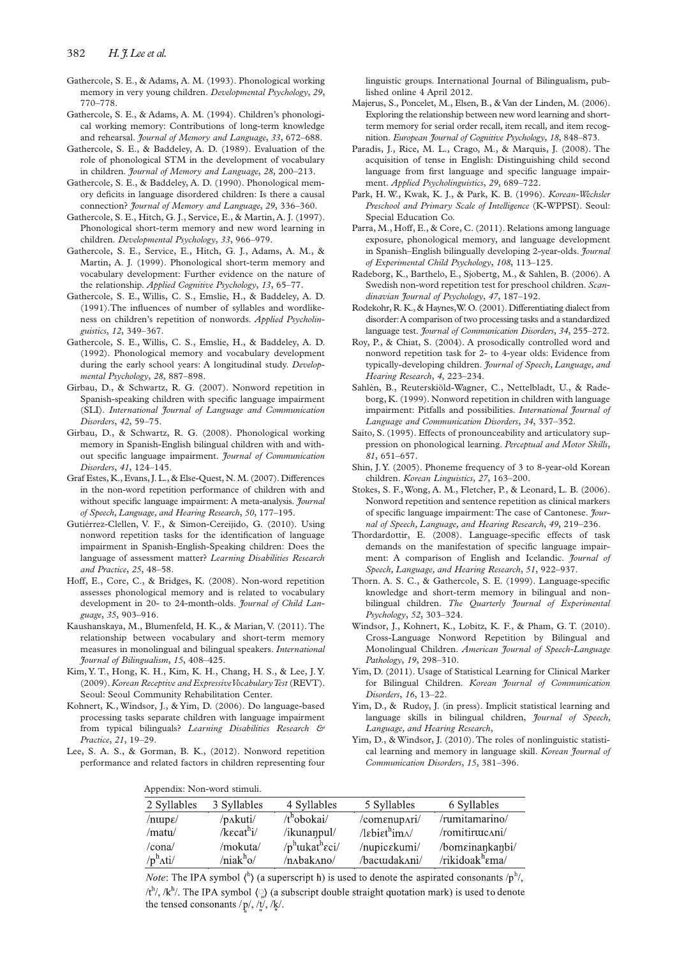- Gathercole, S. E., & Adams, A. M. (1993). Phonological working memory in very young children . *Developmental Psychology*, *29*, 770 – 778.
- Gathercole, S. E., & Adams, A. M. (1994). Children's phonological working memory: Contributions of long-term knowledge and rehearsal. *Journal of Memory and Language*, 33, 672-688.
- Gathercole, S. E., & Baddeley, A. D. (1989). Evaluation of the role of phonological STM in the development of vocabulary in children. *Journal of Memory and Language*, 28, 200-213.
- Gathercole, S. E., & Baddeley, A. D. (1990). Phonological memory deficits in language disordered children: Is there a causal connection? *Journal of Memory and Language*, 29, 336-360.
- Gathercole, S. E., Hitch, G. J., Service, E., & Martin, A. J. (1997). Phonological short-term memory and new word learning in children. *Developmental Psychology*, 33, 966-979.
- Gathercole, S. E., Service, E., Hitch, G. J., Adams, A. M., & Martin, A. J. (1999). Phonological short-term memory and vocabulary development: Further evidence on the nature of the relationship. *Applied Cognitive Psychology*, 13, 65-77.
- Gathercole, S. E., Willis, C. S., Emslie, H., & Baddeley, A. D. (1991). The influences of number of syllables and wordlikeness on children's repetition of nonwords. *Applied Psycholinguistics*, *12*, 349 – 367 .
- Gathercole, S. E., Willis, C. S., Emslie, H., & Baddeley, A. D. (1992) . Phonological memory and vocabulary development during the early school years: A longitudinal study . *Developmental Psychology*, *28*, 887 – 898 .
- Girbau, D., & Schwartz, R. G. (2007). Nonword repetition in Spanish-speaking children with specific language impairment (SLI) . *International Journal of Language and Communication Disorders, 42, 59-75.*
- Girbau, D., & Schwartz, R. G. (2008). Phonological working memory in Spanish-English bilingual children with and without specific language impairment. *Journal of Communication* Disorders, 41, 124-145.
- Graf Estes, K., Evans, J. L., & Else-Quest, N. M. (2007). Differences in the non-word repetition performance of children with and without specific language impairment: A meta-analysis. *Journal of Speech, Language, and Hearing Research*, *50*, 177 – 195 .
- Gutiérrez-Clellen, V. F., & Simon-Cereijido, G. (2010). Using nonword repetition tasks for the identification of language impairment in Spanish-English-Speaking children: Does the language of assessment matter? *Learning Disabilities Research and Practice*, *25*, 48 – 58 .
- Hoff, E., Core, C., & Bridges, K. (2008). Non-word repetition assesses phonological memory and is related to vocabulary development in 20- to 24-month-olds . *Journal of Child Lan*guage, 35, 903-916.
- Kaushanskaya, M., Blumenfeld, H. K., & Marian, V. (2011). The relationship between vocabulary and short-term memory measures in monolingual and bilingual speakers . *International Journal of Bilingualism*, *15*, 408–425 .
- Kim, Y. T., Hong, K. H., Kim, K. H., Chang, H. S., & Lee, J. Y. (2009) . *Korean Receptive and Expressive Vocabulary Test* (REVT) . Seoul: Seoul Community Rehabilitation Center.
- Kohnert, K., Windsor, J., & Yim, D. (2006). Do language-based processing tasks separate children with language impairment from typical bilinguals? *Learning Disabilities Research &*  Practice, 21, 19-29.
- Lee, S. A. S., & Gorman, B. K., (2012). Nonword repetition performance and related factors in children representing four

linguistic groups. International Journal of Bilingualism, published online 4 April 2012.

- Majerus, S., Poncelet, M., Elsen, B., & Van der Linden, M. (2006). Exploring the relationship between new word learning and shortterm memory for serial order recall, item recall, and item recognition. *European Journal of Cognitive Psychology*, 18, 848-873.
- Paradis, J., Rice, M. L., Crago, M., & Marquis, J. (2008). The acquisition of tense in English: Distinguishing child second language from first language and specific language impairment. *Applied Psycholinguistics*, 29, 689-722.
- Park, H. W., Kwak, K. J., & Park, K. B. (1996). *Korean-Wechsler Preschool and Primary Scale of Intelligence* (K-WPPSI) . Seoul: Special Education Co.
- Parra, M., Hoff, E., & Core, C. (2011). Relations among language exposure, phonological memory, and language development in Spanish – English bilingually developing 2-year-olds . *Journal of Experimental Child Psychology*, *108*, 113 – 125 .
- Radeborg, K., Barthelo, E., Sjobertg, M., & Sahlen, B. (2006). A Swedish non-word repetition test for preschool children. *Scandinavian Journal of Psychology*, 47, 187-192.
- Rodekohr, R. K., & Haynes, W. O. (2001). Differentiating dialect from disorder: A comparison of two processing tasks and a standardized language test. *Journal of Communication Disorders*, 34, 255-272.
- Roy, P., & Chiat, S. (2004). A prosodically controlled word and nonword repetition task for 2- to 4-year olds: Evidence from typically-developing children . *Journal of Speech, Language, and Hearing Research*, 4, 223-234.
- Sahlén, B., Reuterskiöld-Wagner, C., Nettelbladt, U., & Radeborg, K. (1999). Nonword repetition in children with language impairment: Pitfalls and possibilities. International Journal of *Language and Communication Disorders*, *34*, 337 – 352 .
- Saito, S. (1995). Effects of pronounceability and articulatory suppression on phonological learning. Perceptual and Motor Skills, 81, 651-657.
- Shin, J. Y. (2005). Phoneme frequency of 3 to 8-year-old Korean children. *Korean Linguistics*, 27, 163-200.
- Stokes, S. F., Wong, A. M., Fletcher, P., & Leonard, L. B. (2006). Nonword repetition and sentence repetition as clinical markers of specific language impairment: The case of Cantonese. *Jour*nal of Speech, Language, and Hearing Research, 49, 219-236.
- Thordardottir, E. (2008). Language-specific effects of task demands on the manifestation of specific language impairment: A comparison of English and Icelandic . *Journal of Speech, Language, and Hearing Research*, *51*, 922 – 937 .
- Thorn. A. S. C., & Gathercole, S. E. (1999). Language-specific knowledge and short-term memory in bilingual and nonbilingual children. *The Quarterly Journal of Experimental Psychology*, *52*, 303 – 324 .
- Windsor, J., Kohnert, K., Lobitz, K. F., & Pham, G. T. (2010). Cross-Language Nonword Repetition by Bilingual and Monolingual Children . *American Journal of Speech-Language*  Pathology, 19, 298-310.
- Yim, D. (2011). Usage of Statistical Learning for Clinical Marker for Bilingual Children . *Korean Journal of Communication*  Disorders, 16, 13-22.
- Yim, D., & Rudoy, J. (in press). Implicit statistical learning and language skills in bilingual children, *Journal of Speech*, *Language, and Hearing Research*,
- Yim, D., & Windsor, J. (2010). The roles of nonlinguistic statistical learning and memory in language skill . *Korean Journal of Communication Disorders*, *15*, 381 – 396 .

| Appendix: Non-word stimuli. |                                      |                         |                                  |                             |
|-----------------------------|--------------------------------------|-------------------------|----------------------------------|-----------------------------|
| 2 Syllables                 | 3 Syllables                          | 4 Syllables             | 5 Syllables                      | 6 Syllables                 |
| /nmps/                      | /p^kuti/                             | /t <sup>h</sup> obokai/ | /comenup^ri/                     | /rumitamarino/              |
| /matu/                      | $/$ k $\epsilon$ cat <sup>h</sup> i/ | /ikunanpul/             | $\lambda$ lebiet $\lim_{\Delta}$ | /romitiruc.ni/              |
| /cona/                      | /mokuta/                             | $/p^h$ what $heci/$     | /nupicekumi/                     | /bomeinankanbi/             |
| $/p^{\rm h}$ Ati/           | $/$ niak $h$ o $/$                   | /n^bak^no/              | /bacuudak^ni/                    | /rikidoak <sup>h</sup> ema/ |

*Note:* The IPA symbol  $\langle^{h} \rangle$  (a superscript h) is used to denote the aspirated consonants  $\langle p^{h} \rangle$ , /t<sup>h</sup>/, /k<sup>h</sup>/. The IPA symbol  $\langle \circ \rangle$  (a subscript double straight quotation mark) is used to denote the tensed consonants /p/, /t/, /k/.